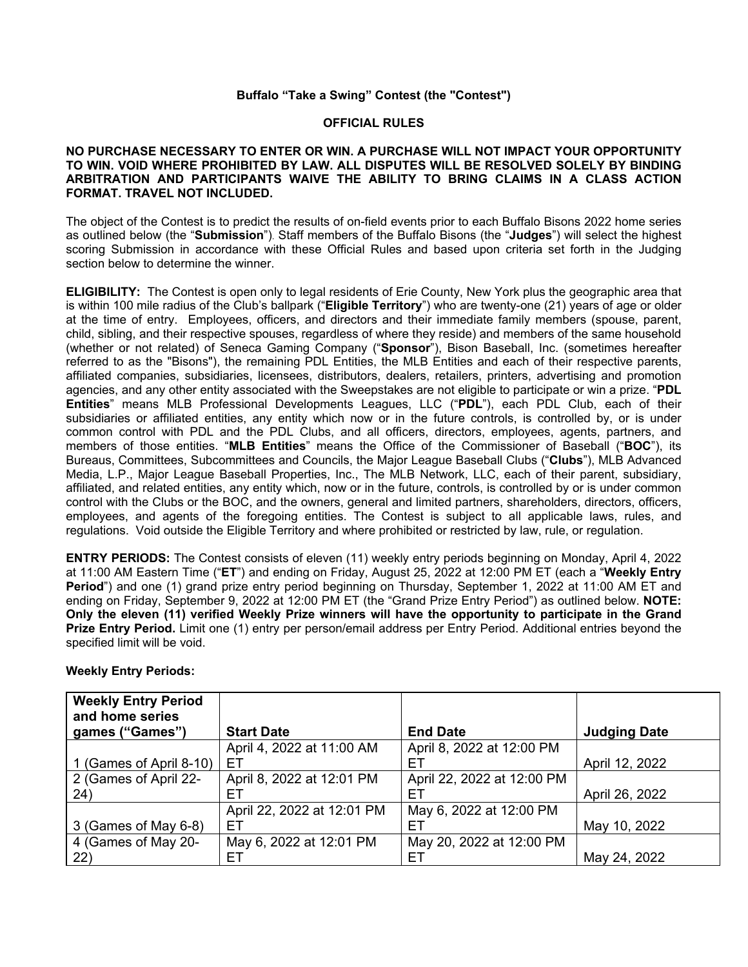## **Buffalo "Take a Swing" Contest (the "Contest")**

#### **OFFICIAL RULES**

#### **NO PURCHASE NECESSARY TO ENTER OR WIN. A PURCHASE WILL NOT IMPACT YOUR OPPORTUNITY TO WIN. VOID WHERE PROHIBITED BY LAW. ALL DISPUTES WILL BE RESOLVED SOLELY BY BINDING ARBITRATION AND PARTICIPANTS WAIVE THE ABILITY TO BRING CLAIMS IN A CLASS ACTION FORMAT. TRAVEL NOT INCLUDED.**

The object of the Contest is to predict the results of on-field events prior to each Buffalo Bisons 2022 home series as outlined below (the "**Submission**"). Staff members of the Buffalo Bisons (the "**Judges**") will select the highest scoring Submission in accordance with these Official Rules and based upon criteria set forth in the Judging section below to determine the winner.

**ELIGIBILITY:** The Contest is open only to legal residents of Erie County, New York plus the geographic area that is within 100 mile radius of the Club's ballpark ("**Eligible Territory**") who are twenty-one (21) years of age or older at the time of entry. Employees, officers, and directors and their immediate family members (spouse, parent, child, sibling, and their respective spouses, regardless of where they reside) and members of the same household (whether or not related) of Seneca Gaming Company ("**Sponsor**"), Bison Baseball, Inc. (sometimes hereafter referred to as the "Bisons"), the remaining PDL Entities, the MLB Entities and each of their respective parents, affiliated companies, subsidiaries, licensees, distributors, dealers, retailers, printers, advertising and promotion agencies, and any other entity associated with the Sweepstakes are not eligible to participate or win a prize. "**PDL Entities**" means MLB Professional Developments Leagues, LLC ("**PDL**"), each PDL Club, each of their subsidiaries or affiliated entities, any entity which now or in the future controls, is controlled by, or is under common control with PDL and the PDL Clubs, and all officers, directors, employees, agents, partners, and members of those entities. "**MLB Entities**" means the Office of the Commissioner of Baseball ("**BOC**"), its Bureaus, Committees, Subcommittees and Councils, the Major League Baseball Clubs ("**Clubs**"), MLB Advanced Media, L.P., Major League Baseball Properties, Inc., The MLB Network, LLC, each of their parent, subsidiary, affiliated, and related entities, any entity which, now or in the future, controls, is controlled by or is under common control with the Clubs or the BOC, and the owners, general and limited partners, shareholders, directors, officers, employees, and agents of the foregoing entities. The Contest is subject to all applicable laws, rules, and regulations. Void outside the Eligible Territory and where prohibited or restricted by law, rule, or regulation.

**ENTRY PERIODS:** The Contest consists of eleven (11) weekly entry periods beginning on Monday, April 4, 2022 at 11:00 AM Eastern Time ("**ET**") and ending on Friday, August 25, 2022 at 12:00 PM ET (each a "**Weekly Entry Period**") and one (1) grand prize entry period beginning on Thursday, September 1, 2022 at 11:00 AM ET and ending on Friday, September 9, 2022 at 12:00 PM ET (the "Grand Prize Entry Period") as outlined below. **NOTE: Only the eleven (11) verified Weekly Prize winners will have the opportunity to participate in the Grand Prize Entry Period.** Limit one (1) entry per person/email address per Entry Period. Additional entries beyond the specified limit will be void.

| <b>Weekly Entry Period</b> |                            |                            |                     |
|----------------------------|----------------------------|----------------------------|---------------------|
| and home series            |                            |                            |                     |
| games ("Games")            | <b>Start Date</b>          | <b>End Date</b>            | <b>Judging Date</b> |
|                            | April 4, 2022 at 11:00 AM  | April 8, 2022 at 12:00 PM  |                     |
| 1 (Games of April 8-10)    | ЕT                         | EТ                         | April 12, 2022      |
| 2 (Games of April 22-      | April 8, 2022 at 12:01 PM  | April 22, 2022 at 12:00 PM |                     |
| 24)                        | EТ                         | EТ                         | April 26, 2022      |
|                            | April 22, 2022 at 12:01 PM | May 6, 2022 at 12:00 PM    |                     |
| 3 (Games of May 6-8)       | ЕT                         | FТ                         | May 10, 2022        |
| 4 (Games of May 20-        | May 6, 2022 at 12:01 PM    | May 20, 2022 at 12:00 PM   |                     |
| 22)                        | EТ                         | EТ                         | May 24, 2022        |

#### **Weekly Entry Periods:**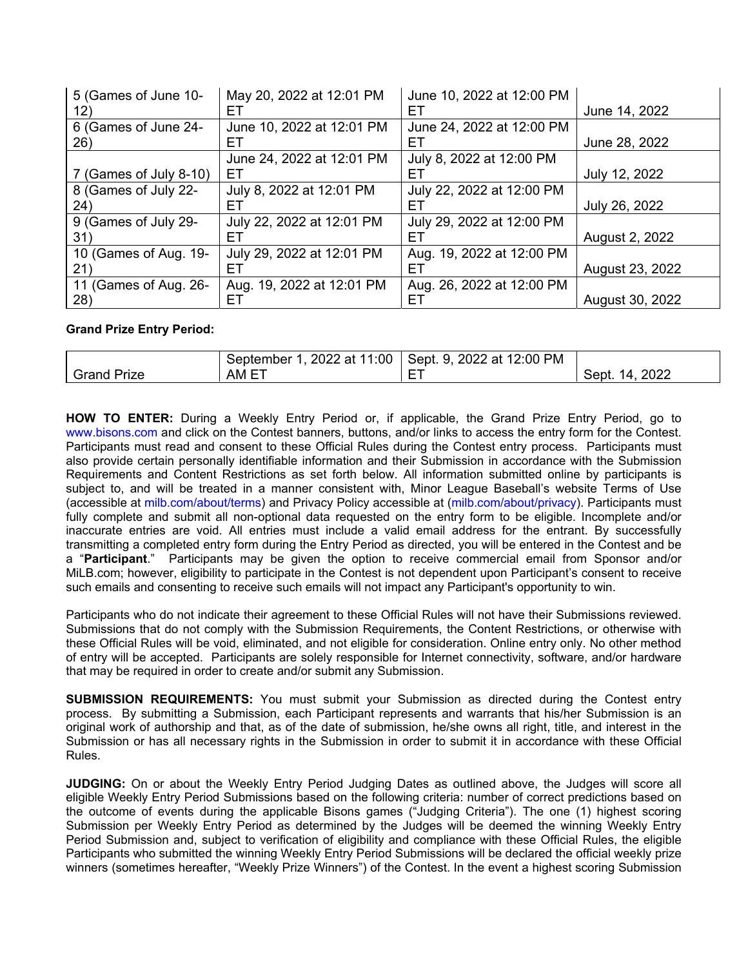| 5 (Games of June 10-   | May 20, 2022 at 12:01 PM  | June 10, 2022 at 12:00 PM |                 |
|------------------------|---------------------------|---------------------------|-----------------|
| 12)                    | EТ                        | EТ                        | June 14, 2022   |
| 6 (Games of June 24-   | June 10, 2022 at 12:01 PM | June 24, 2022 at 12:00 PM |                 |
| 26)                    | EТ                        | EТ                        | June 28, 2022   |
|                        | June 24, 2022 at 12:01 PM | July 8, 2022 at 12:00 PM  |                 |
| 7 (Games of July 8-10) | EТ                        | EТ                        | July 12, 2022   |
| 8 (Games of July 22-   | July 8, 2022 at 12:01 PM  | July 22, 2022 at 12:00 PM |                 |
| 24)                    | EТ                        | EТ                        | July 26, 2022   |
| 9 (Games of July 29-   | July 22, 2022 at 12:01 PM | July 29, 2022 at 12:00 PM |                 |
| 31)                    | FТ                        | EТ                        | August 2, 2022  |
| 10 (Games of Aug. 19-  | July 29, 2022 at 12:01 PM | Aug. 19, 2022 at 12:00 PM |                 |
| 21)                    | EТ                        | EТ                        | August 23, 2022 |
| 11 (Games of Aug. 26-  | Aug. 19, 2022 at 12:01 PM | Aug. 26, 2022 at 12:00 PM |                 |
| 28)                    | EТ                        | EТ                        | August 30, 2022 |

## **Grand Prize Entry Period:**

|                  | 2022 at 11:00<br>September | $.9.2022$ at 12:00 PM<br>Sept. |                      |
|------------------|----------------------------|--------------------------------|----------------------|
| Prize<br>Grand . | AM E                       | $- - -$<br>-                   | 2022<br>14.<br>Sept. |

**HOW TO ENTER:** During a Weekly Entry Period or, if applicable, the Grand Prize Entry Period, go to www.bisons.com and click on the Contest banners, buttons, and/or links to access the entry form for the Contest. Participants must read and consent to these Official Rules during the Contest entry process. Participants must also provide certain personally identifiable information and their Submission in accordance with the Submission Requirements and Content Restrictions as set forth below. All information submitted online by participants is subject to, and will be treated in a manner consistent with, Minor League Baseball's website Terms of Use (accessible at milb.com/about/terms) and Privacy Policy accessible at (milb.com/about/privacy). Participants must fully complete and submit all non-optional data requested on the entry form to be eligible. Incomplete and/or inaccurate entries are void. All entries must include a valid email address for the entrant. By successfully transmitting a completed entry form during the Entry Period as directed, you will be entered in the Contest and be a "**Participant**." Participants may be given the option to receive commercial email from Sponsor and/or MiLB.com; however, eligibility to participate in the Contest is not dependent upon Participant's consent to receive such emails and consenting to receive such emails will not impact any Participant's opportunity to win.

Participants who do not indicate their agreement to these Official Rules will not have their Submissions reviewed. Submissions that do not comply with the Submission Requirements, the Content Restrictions, or otherwise with these Official Rules will be void, eliminated, and not eligible for consideration. Online entry only. No other method of entry will be accepted. Participants are solely responsible for Internet connectivity, software, and/or hardware that may be required in order to create and/or submit any Submission.

**SUBMISSION REQUIREMENTS:** You must submit your Submission as directed during the Contest entry process. By submitting a Submission, each Participant represents and warrants that his/her Submission is an original work of authorship and that, as of the date of submission, he/she owns all right, title, and interest in the Submission or has all necessary rights in the Submission in order to submit it in accordance with these Official Rules.

**JUDGING:** On or about the Weekly Entry Period Judging Dates as outlined above, the Judges will score all eligible Weekly Entry Period Submissions based on the following criteria: number of correct predictions based on the outcome of events during the applicable Bisons games ("Judging Criteria"). The one (1) highest scoring Submission per Weekly Entry Period as determined by the Judges will be deemed the winning Weekly Entry Period Submission and, subject to verification of eligibility and compliance with these Official Rules, the eligible Participants who submitted the winning Weekly Entry Period Submissions will be declared the official weekly prize winners (sometimes hereafter, "Weekly Prize Winners") of the Contest. In the event a highest scoring Submission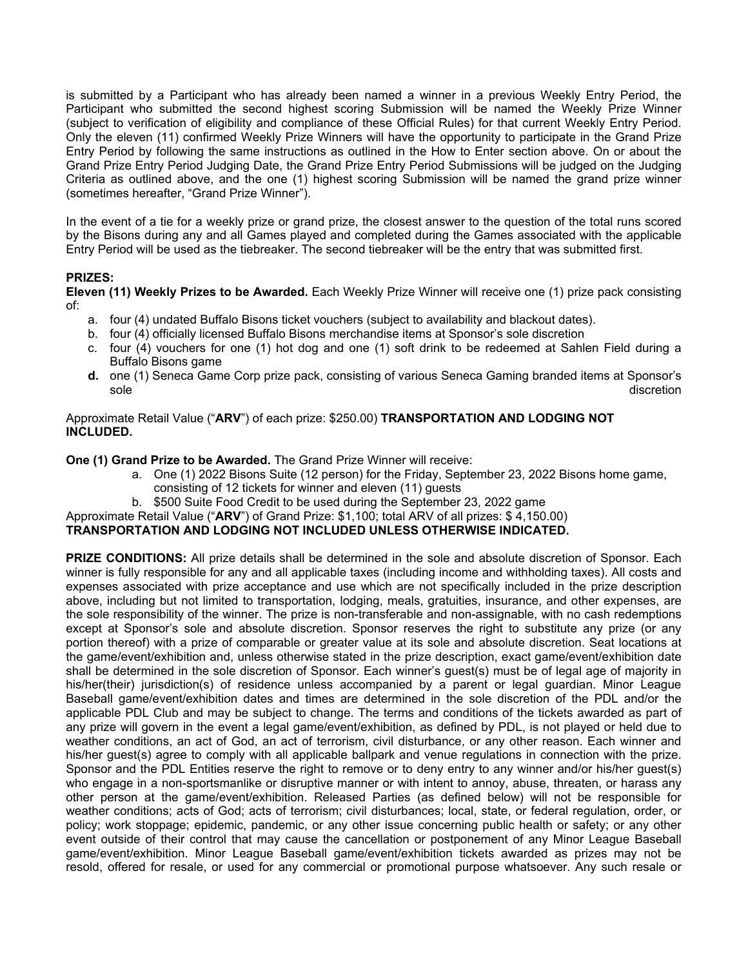is submitted by a Participant who has already been named a winner in a previous Weekly Entry Period, the Participant who submitted the second highest scoring Submission will be named the Weekly Prize Winner (subject to verification of eligibility and compliance of these Official Rules) for that current Weekly Entry Period. Only the eleven (11) confirmed Weekly Prize Winners will have the opportunity to participate in the Grand Prize Entry Period by following the same instructions as outlined in the How to Enter section above. On or about the Grand Prize Entry Period Judging Date, the Grand Prize Entry Period Submissions will be judged on the Judging Criteria as outlined above, and the one (1) highest scoring Submission will be named the grand prize winner (sometimes hereafter, "Grand Prize Winner").

In the event of a tie for a weekly prize or grand prize, the closest answer to the question of the total runs scored by the Bisons during any and all Games played and completed during the Games associated with the applicable Entry Period will be used as the tiebreaker. The second tiebreaker will be the entry that was submitted first.

## **PRIZES:**

**Eleven (11) Weekly Prizes to be Awarded.** Each Weekly Prize Winner will receive one (1) prize pack consisting of:

- a. four (4) undated Buffalo Bisons ticket vouchers (subject to availability and blackout dates).
- b. four (4) officially licensed Buffalo Bisons merchandise items at Sponsor's sole discretion
- c. four (4) vouchers for one (1) hot dog and one (1) soft drink to be redeemed at Sahlen Field during a Buffalo Bisons game
- **d.** one (1) Seneca Game Corp prize pack, consisting of various Seneca Gaming branded items at Sponsor's sole discretion and the contract of the contract of the contract of the contract of the contract of the contract of the contract of the contract of the contract of the contract of the contract of the contract of the contra

## Approximate Retail Value ("**ARV**") of each prize: \$250.00) **TRANSPORTATION AND LODGING NOT INCLUDED.**

**One (1) Grand Prize to be Awarded.** The Grand Prize Winner will receive:

- a. One (1) 2022 Bisons Suite (12 person) for the Friday, September 23, 2022 Bisons home game, consisting of 12 tickets for winner and eleven (11) guests
- b. \$500 Suite Food Credit to be used during the September 23, 2022 game
- Approximate Retail Value ("**ARV**") of Grand Prize: \$1,100; total ARV of all prizes: \$ 4,150.00)

# **TRANSPORTATION AND LODGING NOT INCLUDED UNLESS OTHERWISE INDICATED.**

**PRIZE CONDITIONS:** All prize details shall be determined in the sole and absolute discretion of Sponsor. Each winner is fully responsible for any and all applicable taxes (including income and withholding taxes). All costs and expenses associated with prize acceptance and use which are not specifically included in the prize description above, including but not limited to transportation, lodging, meals, gratuities, insurance, and other expenses, are the sole responsibility of the winner. The prize is non-transferable and non-assignable, with no cash redemptions except at Sponsor's sole and absolute discretion. Sponsor reserves the right to substitute any prize (or any portion thereof) with a prize of comparable or greater value at its sole and absolute discretion. Seat locations at the game/event/exhibition and, unless otherwise stated in the prize description, exact game/event/exhibition date shall be determined in the sole discretion of Sponsor. Each winner's guest(s) must be of legal age of majority in his/her(their) jurisdiction(s) of residence unless accompanied by a parent or legal guardian. Minor League Baseball game/event/exhibition dates and times are determined in the sole discretion of the PDL and/or the applicable PDL Club and may be subject to change. The terms and conditions of the tickets awarded as part of any prize will govern in the event a legal game/event/exhibition, as defined by PDL, is not played or held due to weather conditions, an act of God, an act of terrorism, civil disturbance, or any other reason. Each winner and his/her guest(s) agree to comply with all applicable ballpark and venue regulations in connection with the prize. Sponsor and the PDL Entities reserve the right to remove or to deny entry to any winner and/or his/her guest(s) who engage in a non-sportsmanlike or disruptive manner or with intent to annoy, abuse, threaten, or harass any other person at the game/event/exhibition. Released Parties (as defined below) will not be responsible for weather conditions; acts of God; acts of terrorism; civil disturbances; local, state, or federal regulation, order, or policy; work stoppage; epidemic, pandemic, or any other issue concerning public health or safety; or any other event outside of their control that may cause the cancellation or postponement of any Minor League Baseball game/event/exhibition. Minor League Baseball game/event/exhibition tickets awarded as prizes may not be resold, offered for resale, or used for any commercial or promotional purpose whatsoever. Any such resale or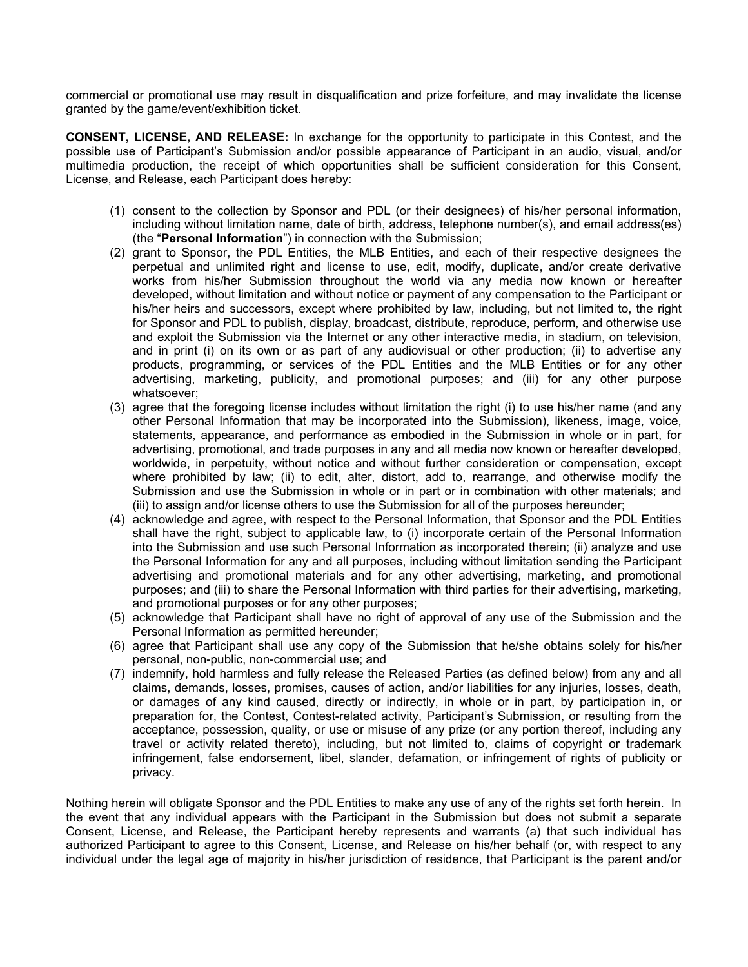commercial or promotional use may result in disqualification and prize forfeiture, and may invalidate the license granted by the game/event/exhibition ticket.

**CONSENT, LICENSE, AND RELEASE:** In exchange for the opportunity to participate in this Contest, and the possible use of Participant's Submission and/or possible appearance of Participant in an audio, visual, and/or multimedia production, the receipt of which opportunities shall be sufficient consideration for this Consent, License, and Release, each Participant does hereby:

- (1) consent to the collection by Sponsor and PDL (or their designees) of his/her personal information, including without limitation name, date of birth, address, telephone number(s), and email address(es) (the "**Personal Information**") in connection with the Submission;
- (2) grant to Sponsor, the PDL Entities, the MLB Entities, and each of their respective designees the perpetual and unlimited right and license to use, edit, modify, duplicate, and/or create derivative works from his/her Submission throughout the world via any media now known or hereafter developed, without limitation and without notice or payment of any compensation to the Participant or his/her heirs and successors, except where prohibited by law, including, but not limited to, the right for Sponsor and PDL to publish, display, broadcast, distribute, reproduce, perform, and otherwise use and exploit the Submission via the Internet or any other interactive media, in stadium, on television, and in print (i) on its own or as part of any audiovisual or other production; (ii) to advertise any products, programming, or services of the PDL Entities and the MLB Entities or for any other advertising, marketing, publicity, and promotional purposes; and (iii) for any other purpose whatsoever;
- (3) agree that the foregoing license includes without limitation the right (i) to use his/her name (and any other Personal Information that may be incorporated into the Submission), likeness, image, voice, statements, appearance, and performance as embodied in the Submission in whole or in part, for advertising, promotional, and trade purposes in any and all media now known or hereafter developed, worldwide, in perpetuity, without notice and without further consideration or compensation, except where prohibited by law; (ii) to edit, alter, distort, add to, rearrange, and otherwise modify the Submission and use the Submission in whole or in part or in combination with other materials; and (iii) to assign and/or license others to use the Submission for all of the purposes hereunder;
- (4) acknowledge and agree, with respect to the Personal Information, that Sponsor and the PDL Entities shall have the right, subject to applicable law, to (i) incorporate certain of the Personal Information into the Submission and use such Personal Information as incorporated therein; (ii) analyze and use the Personal Information for any and all purposes, including without limitation sending the Participant advertising and promotional materials and for any other advertising, marketing, and promotional purposes; and (iii) to share the Personal Information with third parties for their advertising, marketing, and promotional purposes or for any other purposes;
- (5) acknowledge that Participant shall have no right of approval of any use of the Submission and the Personal Information as permitted hereunder;
- (6) agree that Participant shall use any copy of the Submission that he/she obtains solely for his/her personal, non-public, non-commercial use; and
- (7) indemnify, hold harmless and fully release the Released Parties (as defined below) from any and all claims, demands, losses, promises, causes of action, and/or liabilities for any injuries, losses, death, or damages of any kind caused, directly or indirectly, in whole or in part, by participation in, or preparation for, the Contest, Contest-related activity, Participant's Submission, or resulting from the acceptance, possession, quality, or use or misuse of any prize (or any portion thereof, including any travel or activity related thereto), including, but not limited to, claims of copyright or trademark infringement, false endorsement, libel, slander, defamation, or infringement of rights of publicity or privacy.

Nothing herein will obligate Sponsor and the PDL Entities to make any use of any of the rights set forth herein. In the event that any individual appears with the Participant in the Submission but does not submit a separate Consent, License, and Release, the Participant hereby represents and warrants (a) that such individual has authorized Participant to agree to this Consent, License, and Release on his/her behalf (or, with respect to any individual under the legal age of majority in his/her jurisdiction of residence, that Participant is the parent and/or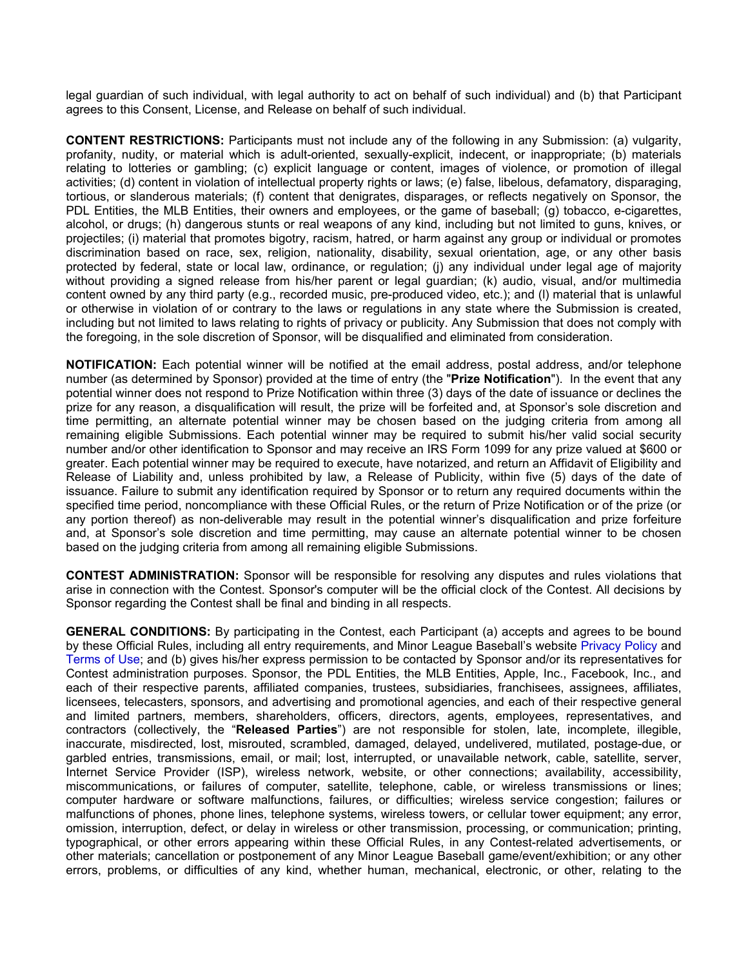legal guardian of such individual, with legal authority to act on behalf of such individual) and (b) that Participant agrees to this Consent, License, and Release on behalf of such individual.

**CONTENT RESTRICTIONS:** Participants must not include any of the following in any Submission: (a) vulgarity, profanity, nudity, or material which is adult-oriented, sexually-explicit, indecent, or inappropriate; (b) materials relating to lotteries or gambling; (c) explicit language or content, images of violence, or promotion of illegal activities; (d) content in violation of intellectual property rights or laws; (e) false, libelous, defamatory, disparaging, tortious, or slanderous materials; (f) content that denigrates, disparages, or reflects negatively on Sponsor, the PDL Entities, the MLB Entities, their owners and employees, or the game of baseball; (g) tobacco, e-cigarettes, alcohol, or drugs; (h) dangerous stunts or real weapons of any kind, including but not limited to guns, knives, or projectiles; (i) material that promotes bigotry, racism, hatred, or harm against any group or individual or promotes discrimination based on race, sex, religion, nationality, disability, sexual orientation, age, or any other basis protected by federal, state or local law, ordinance, or regulation; (j) any individual under legal age of majority without providing a signed release from his/her parent or legal guardian; (k) audio, visual, and/or multimedia content owned by any third party (e.g., recorded music, pre-produced video, etc.); and (l) material that is unlawful or otherwise in violation of or contrary to the laws or regulations in any state where the Submission is created, including but not limited to laws relating to rights of privacy or publicity. Any Submission that does not comply with the foregoing, in the sole discretion of Sponsor, will be disqualified and eliminated from consideration.

**NOTIFICATION:** Each potential winner will be notified at the email address, postal address, and/or telephone number (as determined by Sponsor) provided at the time of entry (the "**Prize Notification**"). In the event that any potential winner does not respond to Prize Notification within three (3) days of the date of issuance or declines the prize for any reason, a disqualification will result, the prize will be forfeited and, at Sponsor's sole discretion and time permitting, an alternate potential winner may be chosen based on the judging criteria from among all remaining eligible Submissions. Each potential winner may be required to submit his/her valid social security number and/or other identification to Sponsor and may receive an IRS Form 1099 for any prize valued at \$600 or greater. Each potential winner may be required to execute, have notarized, and return an Affidavit of Eligibility and Release of Liability and, unless prohibited by law, a Release of Publicity, within five (5) days of the date of issuance. Failure to submit any identification required by Sponsor or to return any required documents within the specified time period, noncompliance with these Official Rules, or the return of Prize Notification or of the prize (or any portion thereof) as non-deliverable may result in the potential winner's disqualification and prize forfeiture and, at Sponsor's sole discretion and time permitting, may cause an alternate potential winner to be chosen based on the judging criteria from among all remaining eligible Submissions.

**CONTEST ADMINISTRATION:** Sponsor will be responsible for resolving any disputes and rules violations that arise in connection with the Contest. Sponsor's computer will be the official clock of the Contest. All decisions by Sponsor regarding the Contest shall be final and binding in all respects.

**GENERAL CONDITIONS:** By participating in the Contest, each Participant (a) accepts and agrees to be bound by these Official Rules, including all entry requirements, and Minor League Baseball's website Privacy Policy and Terms of Use; and (b) gives his/her express permission to be contacted by Sponsor and/or its representatives for Contest administration purposes. Sponsor, the PDL Entities, the MLB Entities, Apple, Inc., Facebook, Inc., and each of their respective parents, affiliated companies, trustees, subsidiaries, franchisees, assignees, affiliates, licensees, telecasters, sponsors, and advertising and promotional agencies, and each of their respective general and limited partners, members, shareholders, officers, directors, agents, employees, representatives, and contractors (collectively, the "**Released Parties**") are not responsible for stolen, late, incomplete, illegible, inaccurate, misdirected, lost, misrouted, scrambled, damaged, delayed, undelivered, mutilated, postage-due, or garbled entries, transmissions, email, or mail; lost, interrupted, or unavailable network, cable, satellite, server, Internet Service Provider (ISP), wireless network, website, or other connections; availability, accessibility, miscommunications, or failures of computer, satellite, telephone, cable, or wireless transmissions or lines; computer hardware or software malfunctions, failures, or difficulties; wireless service congestion; failures or malfunctions of phones, phone lines, telephone systems, wireless towers, or cellular tower equipment; any error, omission, interruption, defect, or delay in wireless or other transmission, processing, or communication; printing, typographical, or other errors appearing within these Official Rules, in any Contest-related advertisements, or other materials; cancellation or postponement of any Minor League Baseball game/event/exhibition; or any other errors, problems, or difficulties of any kind, whether human, mechanical, electronic, or other, relating to the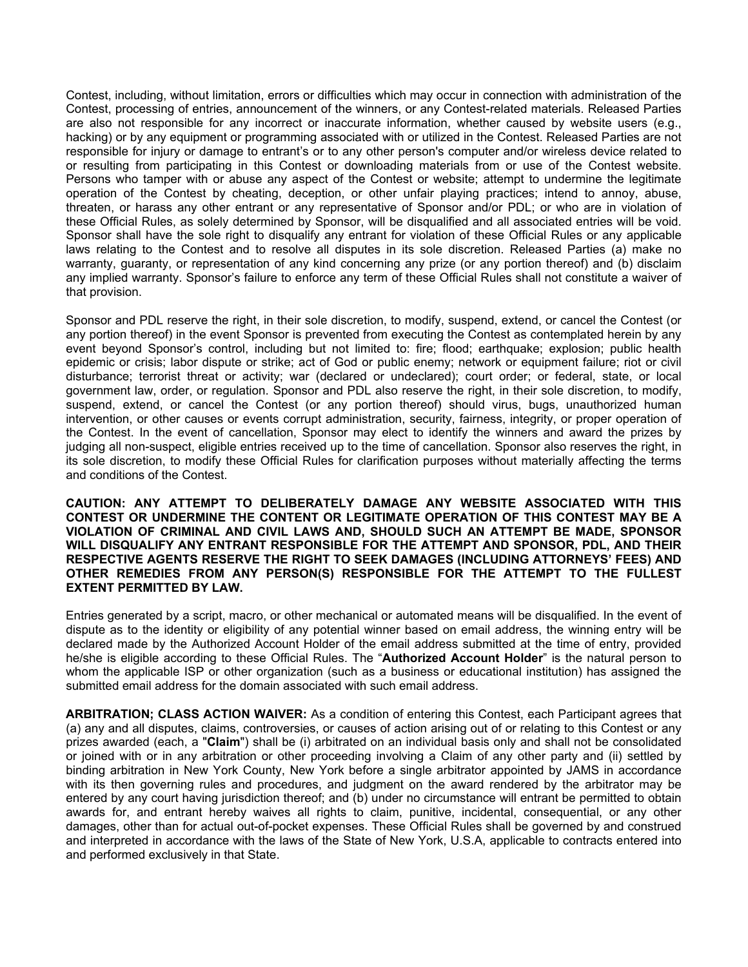Contest, including, without limitation, errors or difficulties which may occur in connection with administration of the Contest, processing of entries, announcement of the winners, or any Contest-related materials. Released Parties are also not responsible for any incorrect or inaccurate information, whether caused by website users (e.g., hacking) or by any equipment or programming associated with or utilized in the Contest. Released Parties are not responsible for injury or damage to entrant's or to any other person's computer and/or wireless device related to or resulting from participating in this Contest or downloading materials from or use of the Contest website. Persons who tamper with or abuse any aspect of the Contest or website; attempt to undermine the legitimate operation of the Contest by cheating, deception, or other unfair playing practices; intend to annoy, abuse, threaten, or harass any other entrant or any representative of Sponsor and/or PDL; or who are in violation of these Official Rules, as solely determined by Sponsor, will be disqualified and all associated entries will be void. Sponsor shall have the sole right to disqualify any entrant for violation of these Official Rules or any applicable laws relating to the Contest and to resolve all disputes in its sole discretion. Released Parties (a) make no warranty, guaranty, or representation of any kind concerning any prize (or any portion thereof) and (b) disclaim any implied warranty. Sponsor's failure to enforce any term of these Official Rules shall not constitute a waiver of that provision.

Sponsor and PDL reserve the right, in their sole discretion, to modify, suspend, extend, or cancel the Contest (or any portion thereof) in the event Sponsor is prevented from executing the Contest as contemplated herein by any event beyond Sponsor's control, including but not limited to: fire; flood; earthquake; explosion; public health epidemic or crisis; labor dispute or strike; act of God or public enemy; network or equipment failure; riot or civil disturbance; terrorist threat or activity; war (declared or undeclared); court order; or federal, state, or local government law, order, or regulation. Sponsor and PDL also reserve the right, in their sole discretion, to modify, suspend, extend, or cancel the Contest (or any portion thereof) should virus, bugs, unauthorized human intervention, or other causes or events corrupt administration, security, fairness, integrity, or proper operation of the Contest. In the event of cancellation, Sponsor may elect to identify the winners and award the prizes by judging all non-suspect, eligible entries received up to the time of cancellation. Sponsor also reserves the right, in its sole discretion, to modify these Official Rules for clarification purposes without materially affecting the terms and conditions of the Contest.

**CAUTION: ANY ATTEMPT TO DELIBERATELY DAMAGE ANY WEBSITE ASSOCIATED WITH THIS CONTEST OR UNDERMINE THE CONTENT OR LEGITIMATE OPERATION OF THIS CONTEST MAY BE A VIOLATION OF CRIMINAL AND CIVIL LAWS AND, SHOULD SUCH AN ATTEMPT BE MADE, SPONSOR WILL DISQUALIFY ANY ENTRANT RESPONSIBLE FOR THE ATTEMPT AND SPONSOR, PDL, AND THEIR RESPECTIVE AGENTS RESERVE THE RIGHT TO SEEK DAMAGES (INCLUDING ATTORNEYS' FEES) AND OTHER REMEDIES FROM ANY PERSON(S) RESPONSIBLE FOR THE ATTEMPT TO THE FULLEST EXTENT PERMITTED BY LAW.**

Entries generated by a script, macro, or other mechanical or automated means will be disqualified. In the event of dispute as to the identity or eligibility of any potential winner based on email address, the winning entry will be declared made by the Authorized Account Holder of the email address submitted at the time of entry, provided he/she is eligible according to these Official Rules. The "**Authorized Account Holder**" is the natural person to whom the applicable ISP or other organization (such as a business or educational institution) has assigned the submitted email address for the domain associated with such email address.

**ARBITRATION; CLASS ACTION WAIVER:** As a condition of entering this Contest, each Participant agrees that (a) any and all disputes, claims, controversies, or causes of action arising out of or relating to this Contest or any prizes awarded (each, a "**Claim**") shall be (i) arbitrated on an individual basis only and shall not be consolidated or joined with or in any arbitration or other proceeding involving a Claim of any other party and (ii) settled by binding arbitration in New York County, New York before a single arbitrator appointed by JAMS in accordance with its then governing rules and procedures, and judgment on the award rendered by the arbitrator may be entered by any court having jurisdiction thereof; and (b) under no circumstance will entrant be permitted to obtain awards for, and entrant hereby waives all rights to claim, punitive, incidental, consequential, or any other damages, other than for actual out-of-pocket expenses. These Official Rules shall be governed by and construed and interpreted in accordance with the laws of the State of New York, U.S.A, applicable to contracts entered into and performed exclusively in that State.